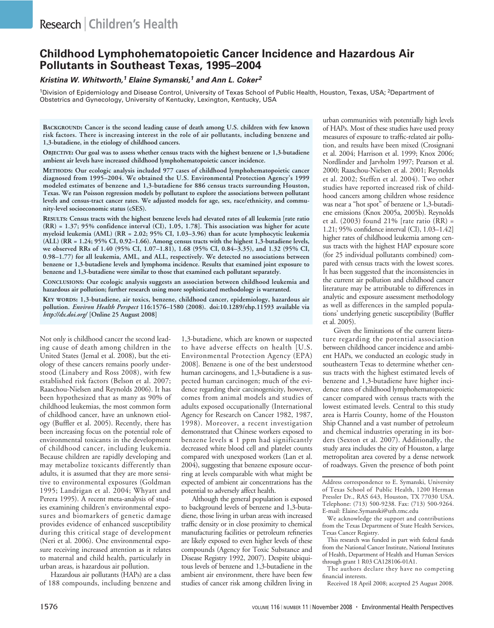# **Childhood Lymphohematopoietic Cancer Incidence and Hazardous Air Pollutants in Southeast Texas, 1995–2004**

*Kristina W. Whitworth,1 Elaine Symanski,1 and Ann L. Coker<sup>2</sup>*

1Division of Epidemiology and Disease Control, University of Texas School of Public Health, Houston, Texas, USA; <sup>2</sup>Department of Obstetrics and Gynecology, University of Kentucky, Lexington, Kentucky, USA

**BACKGROUND: Cancer is the second leading cause of death among U.S. children with few known risk factors. There is increasing interest in the role of air pollutants, including benzene and 1,3-butadiene, in the etiology of childhood cancers.**

**OBJECTIVE: Our goal was to assess whether census tracts with the highest benzene or 1,3-butadiene ambient air levels have increased childhood lymphohematopoietic cancer incidence.**

**METHODS: Our ecologic analysis included 977 cases of childhood lymphohematopoietic cancer diagnosed from 1995–2004. We obtained the U.S. Environmental Protection Agency's 1999 modeled estimates of benzene and 1,3-butadiene for 886 census tracts surrounding Houston, Texas. We ran Poisson regression models by pollutant to explore the associations between pollutant levels and census-tract cancer rates. We adjusted models for age, sex, race/ethnicity, and community-level socioeconomic status (cSES).**

**RESULTS: Census tracts with the highest benzene levels had elevated rates of all leukemia [rate ratio (RR) = 1.37; 95% confidence interval (CI), 1.05, 1.78]. This association was higher for acute myeloid leukemia (AML) (RR = 2.02; 95% CI, 1.03–3.96) than for acute lymphocytic leukemia (ALL) (RR = 1.24; 95% CI, 0.92–1.66). Among census tracts with the highest 1,3-butadiene levels, we observed RRs of 1.40 (95% CI, 1.07–1.81), 1.68 (95% CI, 0.84–3.35), and 1.32 (95% CI, 0.98–1.77) for all leukemia, AML, and ALL, respectively. We detected no associations between benzene or 1,3-butadiene levels and lymphoma incidence. Results that examined joint exposure to benzene and 1,3-butadiene were similar to those that examined each pollutant separately.**

**CONCLUSIONS: Our ecologic analysis suggests an association between childhood leukemia and hazardous air pollution; further research using more sophisticated methodology is warranted.**

**KEY WORDS: 1,3-butadiene, air toxics, benzene, childhood cancer, epidemiology, hazardous air pollution.** *Environ Health Perspect* **116:1576–1580 (2008). doi:10.1289/ehp.11593 available via** *http://dx.doi.org/* **[Online 25 August 2008]**

Not only is childhood cancer the second leading cause of death among children in the United States (Jemal et al. 2008), but the etiology of these cancers remains poorly understood (Linabery and Ross 2008), with few established risk factors (Belson et al. 2007; Raaschou-Nielsen and Reynolds 2006). It has been hypothesized that as many as 90% of childhood leukemias, the most common form of childhood cancer, have an unknown etiology (Buffler et al. 2005). Recently, there has been increasing focus on the potential role of environmental toxicants in the development of childhood cancer, including leukemia. Because children are rapidly developing and may metabolize toxicants differently than adults, it is assumed that they are more sensitive to environmental exposures (Goldman 1995; Landrigan et al. 2004; Whyatt and Perera 1995). A recent meta-analysis of studies examining children's environmental exposures and biomarkers of genetic damage provides evidence of enhanced susceptibility during this critical stage of development (Neri et al. 2006). One environmental exposure receiving increased attention as it relates to maternal and child health, particularly in urban areas, is hazardous air pollution.

Hazardous air pollutants (HAPs) are a class of 188 compounds, including benzene and

1,3-butadiene, which are known or suspected to have adverse effects on health [U.S. Environmental Protection Agency (EPA) 2008]. Benzene is one of the best understood human carcinogens, and 1,3-butadiene is a suspected human carcinogen; much of the evidence regarding their carcinogenicity, however, comes from animal models and studies of adults exposed occupationally (International Agency for Research on Cancer 1982, 1987, 1998). Moreover, a recent investigation demonstrated that Chinese workers exposed to benzene levels  $\leq 1$  ppm had significantly decreased white blood cell and platelet counts compared with unexposed workers (Lan et al. 2004), suggesting that benzene exposure occurring at levels comparable with what might be expected of ambient air concentrations has the potential to adversely affect health.

Although the general population is exposed to background levels of benzene and 1,3-butadiene, those living in urban areas with increased traffic density or in close proximity to chemical manufacturing facilities or petroleum refineries are likely exposed to even higher levels of these compounds (Agency for Toxic Substance and Disease Registry 1992, 2007). Despite ubiquitous levels of benzene and 1,3-butadiene in the ambient air environment, there have been few studies of cancer risk among children living in

urban communities with potentially high levels of HAPs. Most of these studies have used proxy measures of exposure to traffic-related air pollution, and results have been mixed (Crosignani et al. 2004; Harrison et al. 1999; Knox 2006; Nordlinder and Jarvholm 1997; Pearson et al. 2000; Raaschou-Nielsen et al. 2001; Reynolds et al. 2002; Steffen et al. 2004). Two other studies have reported increased risk of childhood cancers among children whose residence was near a "hot spot" of benzene or 1,3-butadiene emissions (Knox 2005a, 2005b). Reynolds et al. (2003) found 21% [rate ratio  $(RR)$  = 1.21; 95% confidence interval (CI), 1.03–1.42] higher rates of childhood leukemia among census tracts with the highest HAP exposure score (for 25 individual pollutants combined) compared with census tracts with the lowest scores. It has been suggested that the inconsistencies in the current air pollution and childhood cancer literature may be attributable to differences in analytic and exposure assessment methodology as well as differences in the sampled populations' underlying genetic susceptibility (Buffler et al. 2005).

Given the limitations of the current literature regarding the potential association between childhood cancer incidence and ambient HAPs, we conducted an ecologic study in southeastern Texas to determine whether census tracts with the highest estimated levels of benzene and 1,3-butadiene have higher incidence rates of childhood lymphohematopoietic cancer compared with census tracts with the lowest estimated levels. Central to this study area is Harris County, home of the Houston Ship Channel and a vast number of petroleum and chemical industries operating in its borders (Sexton et al. 2007). Additionally, the study area includes the city of Houston, a large metropolitan area covered by a dense network of roadways. Given the presence of both point

Address correspondence to E. Symanski, University of Texas School of Public Health, 1200 Herman Pressler Dr., RAS 643, Houston, TX 77030 USA. Telephone: (713) 500-9238. Fax: (713) 500-9264. E-mail: Elaine.Symanski@uth.tmc.edu

We acknowledge the support and contributions from the Texas Department of State Health Services, Texas Cancer Registry.

This research was funded in part with federal funds from the National Cancer Institute, National Institutes of Health, Department of Health and Human Services through grant 1 R03 CA128106-01A1.

The authors declare they have no competing financial interests.

Received 18 April 2008; accepted 25 August 2008.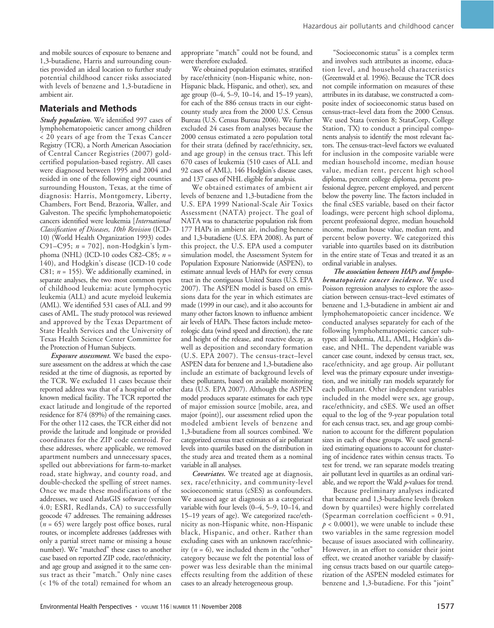and mobile sources of exposure to benzene and 1,3-butadiene, Harris and surrounding counties provided an ideal location to further study potential childhood cancer risks associated with levels of benzene and 1,3-butadiene in ambient air.

# **Materials and Methods**

*Study population.* We identified 997 cases of lymphohematopoietic cancer among children < 20 years of age from the Texas Cancer Registry (TCR), a North American Association of Central Cancer Registries (2007) goldcertified population-based registry. All cases were diagnosed between 1995 and 2004 and resided in one of the following eight counties surrounding Houston, Texas, at the time of diagnosis: Harris, Montgomery, Liberty, Chambers, Fort Bend, Brazoria, Waller, and Galveston. The specific lymphohematopoietic cancers identified were leukemia [*International Classification of Diseases, 10th Revision* (ICD-10) (World Health Organization 1993) codes C91–C95; *n* = 702], non-Hodgkin's lymphoma (NHL) (ICD-10 codes C82–C85; *n* = 140), and Hodgkin's disease (ICD-10 code C81; *n* = 155). We additionally examined, in separate analyses, the two most common types of childhood leukemia: acute lymphocytic leukemia (ALL) and acute myeloid leukemia (AML). We identified 531 cases of ALL and 99 cases of AML. The study protocol was reviewed and approved by the Texas Department of State Health Services and the University of Texas Health Science Center Committee for the Protection of Human Subjects.

*Exposure assessment.* We based the exposure assessment on the address at which the case resided at the time of diagnosis, as reported by the TCR. We excluded 11 cases because their reported address was that of a hospital or other known medical facility. The TCR reported the exact latitude and longitude of the reported residence for 874 (89%) of the remaining cases. For the other 112 cases, the TCR either did not provide the latitude and longitude or provided coordinates for the ZIP code centroid. For these addresses, where applicable, we removed apartment numbers and unnecessary spaces, spelled out abbreviations for farm-to-market road, state highway, and county road, and double-checked the spelling of street names. Once we made these modifications of the addresses, we used AtlasGIS software (version 4.0; ESRI, Redlands, CA) to successfully geocode 47 addresses. The remaining addresses (*n* = 65) were largely post office boxes, rural routes, or incomplete addresses (addresses with only a partial street name or missing a house number). We "matched" these cases to another case based on reported ZIP code, race/ethnicity, and age group and assigned it to the same census tract as their "match." Only nine cases (< 1% of the total) remained for whom an appropriate "match" could not be found, and were therefore excluded.

We obtained population estimates, stratified by race/ethnicity (non-Hispanic white, non-Hispanic black, Hispanic, and other), sex, and age group  $(0-4, 5-9, 10-14, 15-19)$  years), for each of the 886 census tracts in our eightcounty study area from the 2000 U.S. Census Bureau (U.S. Census Bureau 2006). We further excluded 24 cases from analyses because the 2000 census estimated a zero population total for their strata (defined by race/ethnicity, sex, and age group) in the census tract. This left 670 cases of leukemia (510 cases of ALL and 92 cases of AML), 146 Hodgkin's disease cases, and 137 cases of NHL eligible for analysis.

We obtained estimates of ambient air levels of benzene and 1,3-butadiene from the U.S. EPA 1999 National-Scale Air Toxics Assessment (NATA) project. The goal of NATA was to characterize population risk from 177 HAPs in ambient air, including benzene and 1,3-butadiene (U.S. EPA 2008). As part of this project, the U.S. EPA used a computer simulation model, the Assessment System for Population Exposure Nationwide (ASPEN), to estimate annual levels of HAPs for every census tract in the contiguous United States (U.S. EPA 2007). The ASPEN model is based on emissions data for the year in which estimates are made (1999 in our case), and it also accounts for many other factors known to influence ambient air levels of HAPs. These factors include meteorologic data (wind speed and direction), the rate and height of the release, and reactive decay, as well as deposition and secondary formation (U.S. EPA 2007). The census-tract–level ASPEN data for benzene and 1,3-butadiene also include an estimate of background levels of these pollutants, based on available monitoring data (U.S. EPA 2007). Although the ASPEN model produces separate estimates for each type of major emission source [mobile, area, and major (point)], our assessment relied upon the modeled ambient levels of benzene and 1,3-butadiene from all sources combined. We categorized census tract estimates of air pollutant levels into quartiles based on the distribution in the study area and treated them as a nominal variable in all analyses.

*Covariates.* We treated age at diagnosis, sex, race/ethnicity, and community-level socioeconomic status (cSES) as confounders. We assessed age at diagnosis as a categorical variable with four levels (0–4, 5–9, 10–14, and 15–19 years of age). We categorized race/ethnicity as non-Hispanic white, non-Hispanic black, Hispanic, and other. Rather than excluding cases with an unknown race/ethnicity  $(n = 6)$ , we included them in the "other" category because we felt the potential loss of power was less desirable than the minimal effects resulting from the addition of these cases to an already heterogeneous group.

"Socioeconomic status" is a complex term and involves such attributes as income, education level, and household characteristics (Greenwald et al. 1996). Because the TCR does not compile information on measures of these attributes in its database, we constructed a composite index of socioeconomic status based on census-tract–level data from the 2000 Census. We used Stata (version 8; StataCorp, College Station, TX) to conduct a principal components analysis to identify the most relevant factors. The census-tract–level factors we evaluated for inclusion in the composite variable were median household income, median house value, median rent, percent high school diploma, percent college diploma, percent professional degree, percent employed, and percent below the poverty line. The factors included in the final cSES variable, based on their factor loadings, were percent high school diploma, percent professional degree, median household income, median house value, median rent, and percent below poverty. We categorized this variable into quartiles based on its distribution in the entire state of Texas and treated it as an ordinal variable in analyses.

*The association between HAPs and lymphohematopoietic cancer incidence.* We used Poisson regression analyses to explore the association between census-tract–level estimates of benzene and 1,3-butadiene in ambient air and lymphohematopoietic cancer incidence. We conducted analyses separately for each of the following lymphohematopoietic cancer subtypes: all leukemia, ALL, AML, Hodgkin's disease, and NHL. The dependent variable was cancer case count, indexed by census tract, sex, race/ethnicity, and age group. Air pollutant level was the primary exposure under investigation, and we initially ran models separately for each pollutant. Other independent variables included in the model were sex, age group, race/ethnicity, and cSES. We used an offset equal to the log of the 9-year population total for each census tract, sex, and age group combination to account for the different population sizes in each of these groups. We used generalized estimating equations to account for clustering of incidence rates within census tracts. To test for trend, we ran separate models treating air pollutant level in quartiles as an ordinal variable, and we report the Wald *p*-values for trend.

Because preliminary analyses indicated that benzene and 1,3-butadiene levels (broken down by quartiles) were highly correlated (Spearman correlation coefficient = 0.91,  $p < 0.0001$ ), we were unable to include these two variables in the same regression model because of issues associated with collinearity. However, in an effort to consider their joint effect, we created another variable by classifying census tracts based on our quartile categorization of the ASPEN modeled estimates for benzene and 1,3-butadiene. For this "joint"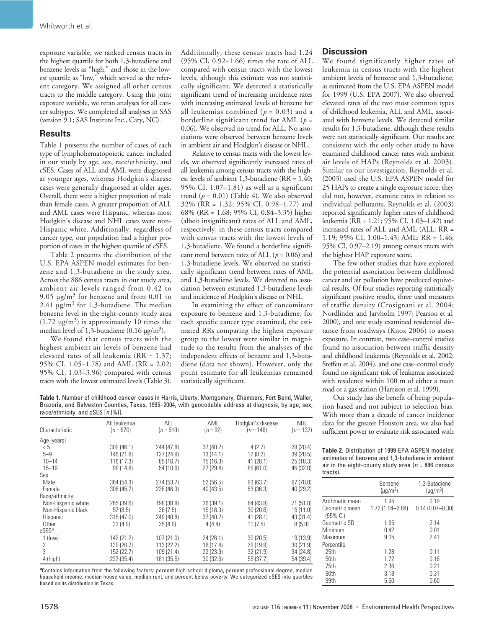exposure variable, we ranked census tracts in the highest quartile for both 1,3-butadiene and benzene levels as "high," and those in the lowest quartile as "low," which served as the referent category. We assigned all other census tracts to the middle category. Using this joint exposure variable, we reran analyses for all cancer subtypes. We completed all analyses in SAS (version 9.1; SAS Institute Inc., Cary, NC).

### **Results**

Table 1 presents the number of cases of each type of lymphohematopoietic cancer included in our study by age, sex, race/ethnicity, and cSES. Cases of ALL and AML were diagnosed at younger ages, whereas Hodgkin's disease cases were generally diagnosed at older ages. Overall, there were a higher proportion of male than female cases. A greater proportion of ALL and AML cases were Hispanic, whereas most Hodgkin's disease and NHL cases were non-Hispanic white. Additionally, regardless of cancer type, our population had a higher proportion of cases in the highest quartile of cSES.

Table 2 presents the distribution of the U.S. EPA ASPEN model estimates for benzene and 1,3-butadiene in the study area. Across the 886 census tracts in our study area, ambient air levels ranged from 0.42 to 9.05  $\mu$ g/m<sup>3</sup> for benzene and from 0.01 to 2.41  $\mu$ g/m<sup>3</sup> for 1,3-butadiene. The median benzene level in the eight-county study area  $(1.72 \text{ µg/m}^3)$  is approximately 10 times the median level of 1,3-butadiene (0.16  $\mu$ g/m<sup>3</sup>).

We found that census tracts with the highest ambient air levels of benzene had elevated rates of all leukemia (RR = 1.37; 95% CI, 1.05–1.78) and AML (RR = 2.02; 95% CI, 1.03–3.96) compared with census tracts with the lowest estimated levels (Table 3).

Additionally, these census tracts had 1.24 (95% CI, 0.92–1.66) times the rate of ALL compared with census tracts with the lowest levels, although this estimate was not statistically significant. We detected a statistically significant trend of increasing incidence rates with increasing estimated levels of benzene for all leukemias combined ( $p = 0.03$ ) and a borderline significant trend for AML (*p* = 0.06). We observed no trend for ALL. No associations were observed between benzene levels in ambient air and Hodgkin's disease or NHL.

Relative to census tracts with the lowest levels, we observed significantly increased rates of all leukemia among census tracts with the highest levels of ambient 1,3-butadiene (RR = 1.40; 95% CI, 1.07–1.81) as well as a significant trend  $(p = 0.01)$  (Table 4). We also observed 32% (RR = 1.32; 95% CI, 0.98–1.77) and 68% (RR = 1.68; 95% CI, 0.84–3.35) higher (albeit insignificant) rates of ALL and AML, respectively, in these census tracts compared with census tracts with the lowest levels of 1,3-butadiene. We found a borderline significant trend between rates of ALL ( $p = 0.06$ ) and 1,3-butadiene levels. We observed no statistically significant trend between rates of AML and 1,3-butadiene levels. We detected no association between estimated 1,3-butadiene levels and incidence of Hodgkin's disease or NHL.

In examining the effect of concomitant exposure to benzene and 1,3-butadiene, for each specific cancer type examined, the estimated RRs comparing the highest exposure group to the lowest were similar in magnitude to the results from the analyses of the independent effects of benzene and 1,3-butadiene (data not shown). However, only the point estimate for all leukemias remained statistically significant.

#### **Discussion**

We found significantly higher rates of leukemia in census tracts with the highest ambient levels of benzene and 1,3-butadiene, as estimated from the U.S. EPA ASPEN model for 1999 (U.S. EPA 2007). We also observed elevated rates of the two most common types of childhood leukemia, ALL and AML, associated with benzene levels. We detected similar results for 1,3-butadiene, although these results were not statistically significant. Our results are consistent with the only other study to have examined childhood cancer rates with ambient air levels of HAPs (Reynolds et al. 2003). Similar to our investigation, Reynolds et al. (2003) used the U.S. EPA ASPEN model for 25 HAPs to create a single exposure score; they did not, however, examine rates in relation to individual pollutants. Reynolds et al. (2003) reported significantly higher rates of childhood leukemia ( $\overline{RR} = 1.21$ ;  $95\%$  CI, 1.03–1.42) and increased rates of ALL and AML (ALL: RR = 1.19; 95% CI, 1.00–1.43; AML: RR = 1.46; 95% CI, 0.97–2.19) among census tracts with the highest HAP exposure score.

The few other studies that have explored the potential association between childhood cancer and air pollution have produced equivocal results. Of four studies reporting statistically significant positive results, three used measures of traffic density (Crosignani et al. 2004; Nordlinder and Jarvholm 1997; Pearson et al. 2000), and one study examined residential distance from roadways (Knox 2006) to assess exposure. In contrast, two case–control studies found no association between traffic density and childhood leukemia (Reynolds et al. 2002; Steffen et al. 2004), and one case–control study found no significant risk of leukemia associated with residence within 100 m of either a main road or a gas station (Harrison et al. 1999).

Our study has the benefit of being population based and not subject to selection bias. With more than a decade of cancer incidence data for the greater Houston area, we also had sufficient power to evaluate risk associated with

| Table 2. Distribution of 1999 EPA ASPEN modeled       |
|-------------------------------------------------------|
| estimates of benzene and 1,3-butadiene in ambient     |
| air in the eight-county study area ( $n = 886$ census |
| tracts).                                              |

|                            | Benzene<br>$(\mu q/m^3)$ | 1.3-Butadiene<br>$(\mu q/m^3)$ |
|----------------------------|--------------------------|--------------------------------|
| Arithmetic mean            | 1.95                     | 0.19                           |
| Geometric mean<br>(95% CI) | 1.72 (1.04-2.84)         | $0.14(0.07 - 0.30)$            |
| Geometric SD               | 1.65                     | 2 14                           |
| Minimum                    | 0.42                     | 0.01                           |
| Maximum                    | 9.05                     | 241                            |
| Percentile                 |                          |                                |
| 25 <sub>th</sub>           | 1 28                     | n 11                           |
| 50th                       | 1.72                     | 0.16                           |
| 75th                       | 2.36                     | n 21                           |
| 90th                       | 3.18                     | 0.31                           |
| 99th                       | 5.50                     | 0.60                           |

**Table 1.** Number of childhood cancer cases in Harris, Liberty, Montgomery, Chambers, Fort Bend, Waller, Brazoria, and Galveston Counties, Texas, 1995–2004, with geocodable address at diagnosis, by age, sex, race/ethnicity, and cSES [n (%)].

| Characteristic     | All leukemia<br>$(n = 670)$ | ALL<br>$(n = 510)$ | AML<br>$(n = 92)$ | Hodgkin's disease<br>$(n = 146)$ | <b>NHL</b><br>$(n = 137)$ |
|--------------------|-----------------------------|--------------------|-------------------|----------------------------------|---------------------------|
| Age (years)        |                             |                    |                   |                                  |                           |
| < 5                | 309(46.1)                   | 244 (47.8)         | 37(40.2)          | 4(2.7)                           | 28 (20.4)                 |
| $5 - 9$            | 146 (21.8)                  | 127 (24.9)         | 13(14.1)          | 12(8.2)                          | 39(28.5)                  |
| $10 - 14$          | 116 (17.3)                  | 85(16.7)           | 15 (16.3)         | 41 (28.1)                        | 25(18.3)                  |
| $15 - 19$          | 99 (14.8)                   | 54 (10.6)          | 27(29.4)          | 89 (61.0)                        | 45 (32.8)                 |
| Sex                |                             |                    |                   |                                  |                           |
| Male               | 364 (54.3)                  | 274 (53.7)         | 52(56.5)          | 93(63.7)                         | 97 (70.8)                 |
| Female             | 306 (45.7)                  | 236 (46.3)         | 40 (43.5)         | 53 (36.3)                        | 40 (29.2)                 |
| Race/ethnicity     |                             |                    |                   |                                  |                           |
| Non-Hispanic white | 265 (39.6)                  | 198 (38.8)         | 36(39.1)          | 64 (43.8)                        | 71 (51.8)                 |
| Non-Hispanic black | 57(8.5)                     | 38(7.5)            | 15 (16.3)         | 30(20.6)                         | 15(11.0)                  |
| Hispanic           | 315(47.0)                   | 249 (48.8)         | 37(40.2)          | 41 (28.1)                        | 43 (31.4)                 |
| Other              | 33(4.9)                     | 25(4.9)            | 4(4.4)            | 11(7.5)                          | 8(5.8)                    |
| $cSES^a$           |                             |                    |                   |                                  |                           |
| $1$ (low)          | 142 (21.2)                  | 107 (21.0)         | 24 (26.1)         | 30(20.5)                         | 19 (13.9)                 |
| 2                  | 139 (20.7)                  | 113 (22.2)         | 16 (17.4)         | 29 (19.9)                        | 30(21.9)                  |
| 3                  | 152 (22.7)                  | 109 (21.4)         | 22 (23.9)         | 32(21.9)                         | 34 (24.8)                 |
| 4 (high)           | 237 (35.4)                  | 181 (35.5)         | 30(32.6)          | 55 (37.7)                        | 54 (39.4)                 |

*<sup>a</sup>*Contains information from the following factors: percent high school diploma, percent professional degree, median household income, median house value, median rent, and percent below poverty. We categorized cSES into quartiles based on its distribution in Texas.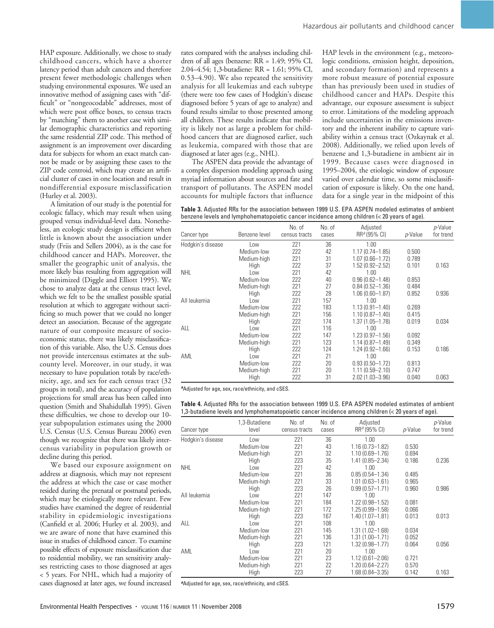HAP exposure. Additionally, we chose to study childhood cancers, which have a shorter latency period than adult cancers and therefore present fewer methodologic challenges when studying environmental exposures. We used an innovative method of assigning cases with "difficult" or "nongeocodable" addresses, most of which were post office boxes, to census tracts by "matching" them to another case with similar demographic characteristics and reporting the same residential ZIP code. This method of assignment is an improvement over discarding data for subjects for whom an exact match cannot be made or by assigning these cases to the ZIP code centroid, which may create an artificial cluster of cases in one location and result in nondifferential exposure misclassification (Hurley et al. 2003).

A limitation of our study is the potential for ecologic fallacy, which may result when using grouped versus individual-level data. Nonetheless, an ecologic study design is efficient when little is known about the association under study (Friis and Sellers 2004), as is the case for childhood cancer and HAPs. Moreover, the smaller the geographic unit of analysis, the more likely bias resulting from aggregation will be minimized (Diggle and Elliott 1995). We chose to analyze data at the census tract level, which we felt to be the smallest possible spatial resolution at which to aggregate without sacrificing so much power that we could no longer detect an association. Because of the aggregate nature of our composite measure of socioeconomic status, there was likely misclassification of this variable. Also, the U.S. Census does not provide intercensus estimates at the subcounty level. Moreover, in our study, it was necessary to have population totals by race/ethnicity, age, and sex for each census tract (32 groups in total), and the accuracy of population projections for small areas has been called into question (Smith and Shahidullah 1995). Given these difficulties, we chose to develop our 10 year subpopulation estimates using the 2000 U.S. Census (U.S. Census Bureau 2006) even though we recognize that there was likely intercensus variability in population growth or decline during this period.

We based our exposure assignment on address at diagnosis, which may not represent the address at which the case or case mother resided during the prenatal or postnatal periods, which may be etiologically more relevant. Few studies have examined the degree of residential stability in epidemiologic investigations (Canfield et al. 2006; Hurley et al. 2003), and we are aware of none that have examined this issue in studies of childhood cancer. To examine possible effects of exposure misclassification due to residential mobility, we ran sensitivity analyses restricting cases to those diagnosed at ages < 5 years. For NHL, which had a majority of cases diagnosed at later ages, we found increased rates compared with the analyses including children of all ages (benzene: RR = 1.49; 95% CI, 2.04–4.54; 1,3-butadiene: RR = 1.61; 95% CI, 0.53–4.90). We also repeated the sensitivity analysis for all leukemias and each subtype (there were too few cases of Hodgkin's disease diagnosed before 5 years of age to analyze) and found results similar to those presented among all children. These results indicate that mobility is likely not as large a problem for childhood cancers that are diagnosed earlier, such as leukemia, compared with those that are diagnosed at later ages (e.g., NHL).

The ASPEN data provide the advantage of a complex dispersion modeling approach using myriad information about sources and fate and transport of pollutants. The ASPEN model accounts for multiple factors that influence

HAP levels in the environment (e.g., meteorologic conditions, emission height, deposition, and secondary formation) and represents a more robust measure of potential exposure than has previously been used in studies of childhood cancer and HAPs. Despite this advantage, our exposure assessment is subject to error. Limitations of the modeling approach include uncertainties in the emissions inventory and the inherent inability to capture variability within a census tract (Ozkaynak et al. 2008). Additionally, we relied upon levels of benzene and 1,3-butadiene in ambient air in 1999. Because cases were diagnosed in 1995–2004, the etiologic window of exposure varied over calendar time, so some misclassification of exposure is likely. On the one hand, data for a single year in the midpoint of this

| Table 3. Adjusted RRs for the association between 1999 U.S. EPA ASPEN modeled estimates of ambient |
|----------------------------------------------------------------------------------------------------|
| benzene levels and lymphohematopoietic cancer incidence among children (< 20 years of age).        |

| Cancer type       | Benzene level | No. of<br>census tracts | No. of<br>cases | Adjusted<br>RR <sup>a</sup> (95% CI) | p-Value | p-Value<br>for trend |
|-------------------|---------------|-------------------------|-----------------|--------------------------------------|---------|----------------------|
| Hodgkin's disease | Low           | 221                     | 36              | 1.00                                 |         |                      |
|                   | Medium-low    | 222                     | 42              | $1.17(0.74 - 1.85)$                  | 0.500   |                      |
|                   | Medium-high   | 221                     | 31              | $1.07(0.66 - 1.72)$                  | 0.789   |                      |
|                   | High          | 222                     | 37              | $1.52(0.92 - 2.52)$                  | 0.101   | 0.163                |
| <b>NHL</b>        | Low           | 221                     | 42              | 1.00                                 |         |                      |
|                   | Medium-low    | 222                     | 40              | $0.96(0.62 - 1.48)$                  | 0.853   |                      |
|                   | Medium-high   | 221                     | 27              | $0.84(0.52 - 1.36)$                  | 0.484   |                      |
|                   | High          | 222                     | 28              | $1.06(0.60 - 1.87)$                  | 0.852   | 0.936                |
| All leukemia      | Low           | 221                     | 157             | 1.00                                 |         |                      |
|                   | Medium-low    | 222                     | 183             | $1.13(0.91 - 1.40)$                  | 0.269   |                      |
|                   | Medium-high   | 221                     | 156             | $1.10(0.87 - 1.40)$                  | 0.415   |                      |
|                   | High          | 222                     | 174             | $1.37(1.05 - 1.78)$                  | 0.019   | 0.034                |
| ALL               | Low           | 221                     | 116             | 1.00                                 |         |                      |
|                   | Medium-low    | 222                     | 147             | $1.23(0.97 - 1.56)$                  | 0.092   |                      |
|                   | Medium-high   | 221                     | 123             | $1.14(0.87 - 1.49)$                  | 0.349   |                      |
|                   | High          | 222                     | 124             | $1.24(0.92 - 1.66)$                  | 0.153   | 0.186                |
| AML               | Low           | 221                     | 21              | 1.00                                 |         |                      |
|                   | Medium-low    | 222                     | 20              | $0.93(0.50 - 1.72)$                  | 0.813   |                      |
|                   | Medium-high   | 221                     | 20              | $1.11(0.59 - 2.10)$                  | 0.747   |                      |
|                   | High          | 222                     | 31              | 2.02 (1.03-3.96)                     | 0.040   | 0.063                |

*<sup>a</sup>*Adjusted for age, sex, race/ethnicity, and cSES.

**Table 4.** Adjusted RRs for the association between 1999 U.S. EPA ASPEN modeled estimates of ambient 1,3-butadiene levels and lymphohematopoietic cancer incidence among children (< 20 years of age).

| Cancer type       | 1.3-Butadiene<br>level | No. of<br>census tracts | No. of<br>cases | Adjusted<br>RR <sup>a</sup> (95% CI) | p-Value | p-Value<br>for trend |
|-------------------|------------------------|-------------------------|-----------------|--------------------------------------|---------|----------------------|
| Hodgkin's disease | Low                    | 221                     | 36              | 1.00                                 |         |                      |
|                   | Medium-low             | 221                     | 43              | $1.16(0.73 - 1.82)$                  | 0.530   |                      |
|                   | Medium-high            | 221                     | 32              | $1.10(0.69 - 1.76)$                  | 0.694   |                      |
|                   | High                   | 223                     | 35              | $1.41(0.85 - 2.34)$                  | 0.186   | 0.236                |
| <b>NHL</b>        | Low                    | 221                     | 42              | 1.00                                 |         |                      |
|                   | Medium-low             | 221                     | 36              | $0.85(0.54 - 1.34)$                  | 0.485   |                      |
|                   | Medium-high            | 221                     | 33              | $1.01(0.63 - 1.61)$                  | 0.965   |                      |
|                   | High                   | 223                     | 26              | $0.99(0.57 - 1.71)$                  | 0.960   | 0.986                |
| All leukemia      | Low                    | 221                     | 147             | 1.00                                 |         |                      |
|                   | Medium-low             | 221                     | 184             | 1.22 (0.98-1.52)                     | 0.081   |                      |
|                   | Medium-high            | 221                     | 172             | 1.25 (0.99-1.58)                     | 0.066   |                      |
|                   | High                   | 223                     | 167             | $1.40(1.07 - 1.81)$                  | 0.013   | 0.013                |
| ALL               | Low                    | 221                     | 108             | 1.00                                 |         |                      |
|                   | Medium-low             | 221                     | 145             | $1.31(1.02 - 1.68)$                  | 0.034   |                      |
|                   | Medium-high            | 221                     | 136             | $1.31(1.00 - 1.71)$                  | 0.052   |                      |
|                   | High                   | 223                     | 121             | $1.32(0.98 - 1.77)$                  | 0.064   | 0.056                |
| AML               | Low                    | 221                     | 20              | 1.00                                 |         |                      |
|                   | Medium-low             | 221                     | 23              | $1.12(0.61 - 2.06)$                  | 0.721   |                      |
|                   | Medium-high            | 221                     | 22              | $1.20(0.64 - 2.27)$                  | 0.570   |                      |
|                   | High                   | 223                     | 27              | 1.68 (0.84-3.35)                     | 0.142   | 0.163                |

*<sup>a</sup>*Adjusted for age, sex, race/ethnicity, and cSES.